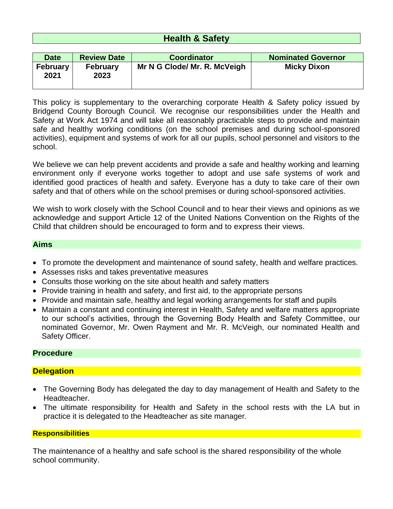# **Health & Safety**

| <b>Date</b>             | <b>Review Date</b>      | <b>Coordinator</b>           | <b>Nominated Governor</b> |
|-------------------------|-------------------------|------------------------------|---------------------------|
| <b>February</b><br>2021 | <b>February</b><br>2023 | Mr N G Clode/ Mr. R. McVeigh | <b>Micky Dixon</b>        |

This policy is supplementary to the overarching corporate Health & Safety policy issued by Bridgend County Borough Council. We recognise our responsibilities under the Health and Safety at Work Act 1974 and will take all reasonably practicable steps to provide and maintain safe and healthy working conditions (on the school premises and during school-sponsored activities), equipment and systems of work for all our pupils, school personnel and visitors to the school.

We believe we can help prevent accidents and provide a safe and healthy working and learning environment only if everyone works together to adopt and use safe systems of work and identified good practices of health and safety. Everyone has a duty to take care of their own safety and that of others while on the school premises or during school-sponsored activities.

We wish to work closely with the School Council and to hear their views and opinions as we acknowledge and support Article 12 of the United Nations Convention on the Rights of the Child that children should be encouraged to form and to express their views.

#### **Aims**

- To promote the development and maintenance of sound safety, health and welfare practices.
- Assesses risks and takes preventative measures
- Consults those working on the site about health and safety matters
- Provide training in health and safety, and first aid, to the appropriate persons
- Provide and maintain safe, healthy and legal working arrangements for staff and pupils
- Maintain a constant and continuing interest in Health, Safety and welfare matters appropriate to our school's activities, through the Governing Body Health and Safety Committee, our nominated Governor, Mr. Owen Rayment and Mr. R. McVeigh, our nominated Health and Safety Officer.

### **Procedure**

### **Delegation**

- The Governing Body has delegated the day to day management of Health and Safety to the Headteacher.
- The ultimate responsibility for Health and Safety in the school rests with the LA but in practice it is delegated to the Headteacher as site manager.

#### **Responsibilities**

The maintenance of a healthy and safe school is the shared responsibility of the whole school community.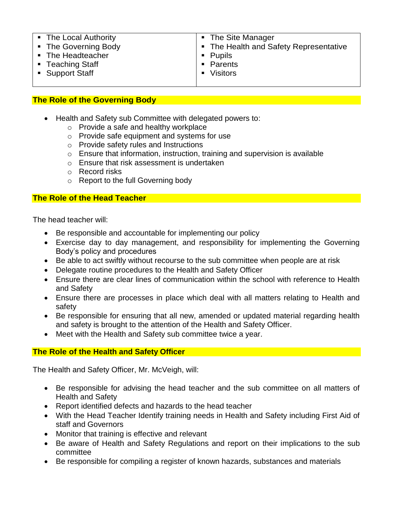| • The Local Authority | • The Site Manager                     |
|-----------------------|----------------------------------------|
| • The Governing Body  | • The Health and Safety Representative |
| • The Headteacher     | $\blacksquare$ Pupils                  |
| ■ Teaching Staff      | • Parents                              |
| • Support Staff       | • Visitors                             |
|                       |                                        |

# **The Role of the Governing Body**

- Health and Safety sub Committee with delegated powers to:
	- o Provide a safe and healthy workplace
	- $\circ$  Provide safe equipment and systems for use
	- o Provide safety rules and Instructions
	- $\circ$  Ensure that information, instruction, training and supervision is available
	- o Ensure that risk assessment is undertaken
	- o Record risks
	- o Report to the full Governing body

### **The Role of the Head Teacher**

The head teacher will:

- Be responsible and accountable for implementing our policy
- Exercise day to day management, and responsibility for implementing the Governing Body's policy and procedures
- Be able to act swiftly without recourse to the sub committee when people are at risk
- Delegate routine procedures to the Health and Safety Officer
- Ensure there are clear lines of communication within the school with reference to Health and Safety
- Ensure there are processes in place which deal with all matters relating to Health and safety
- Be responsible for ensuring that all new, amended or updated material regarding health and safety is brought to the attention of the Health and Safety Officer.
- Meet with the Health and Safety sub committee twice a year.

### **The Role of the Health and Safety Officer**

The Health and Safety Officer, Mr. McVeigh, will:

- Be responsible for advising the head teacher and the sub committee on all matters of Health and Safety
- Report identified defects and hazards to the head teacher
- With the Head Teacher Identify training needs in Health and Safety including First Aid of staff and Governors
- Monitor that training is effective and relevant
- Be aware of Health and Safety Regulations and report on their implications to the sub committee
- Be responsible for compiling a register of known hazards, substances and materials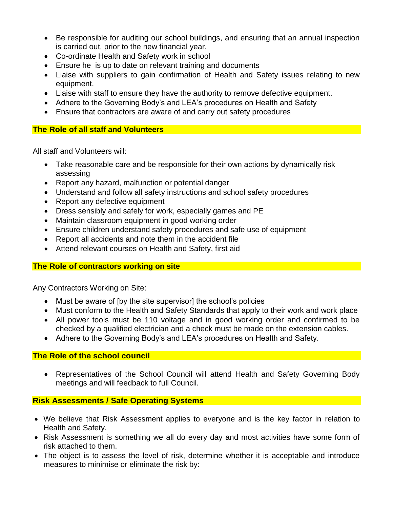- Be responsible for auditing our school buildings, and ensuring that an annual inspection is carried out, prior to the new financial year.
- Co-ordinate Health and Safety work in school
- Ensure he is up to date on relevant training and documents
- Liaise with suppliers to gain confirmation of Health and Safety issues relating to new equipment.
- Liaise with staff to ensure they have the authority to remove defective equipment.
- Adhere to the Governing Body's and LEA's procedures on Health and Safety
- Ensure that contractors are aware of and carry out safety procedures

### **The Role of all staff and Volunteers**

All staff and Volunteers will:

- Take reasonable care and be responsible for their own actions by dynamically risk assessing
- Report any hazard, malfunction or potential danger
- Understand and follow all safety instructions and school safety procedures
- Report any defective equipment
- Dress sensibly and safely for work, especially games and PE
- Maintain classroom equipment in good working order
- Ensure children understand safety procedures and safe use of equipment
- Report all accidents and note them in the accident file
- Attend relevant courses on Health and Safety, first aid

### **The Role of contractors working on site**

Any Contractors Working on Site:

- Must be aware of [by the site supervisor] the school's policies
- Must conform to the Health and Safety Standards that apply to their work and work place
- All power tools must be 110 voltage and in good working order and confirmed to be checked by a qualified electrician and a check must be made on the extension cables.
- Adhere to the Governing Body's and LEA's procedures on Health and Safety.

### **The Role of the school council**

 Representatives of the School Council will attend Health and Safety Governing Body meetings and will feedback to full Council.

# **Risk Assessments / Safe Operating Systems**

- We believe that Risk Assessment applies to everyone and is the key factor in relation to Health and Safety.
- Risk Assessment is something we all do every day and most activities have some form of risk attached to them.
- The object is to assess the level of risk, determine whether it is acceptable and introduce measures to minimise or eliminate the risk by: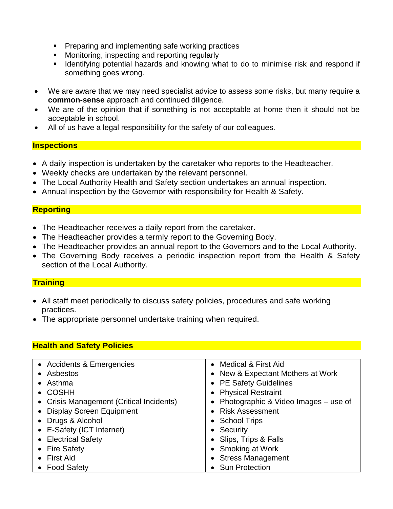- **Preparing and implementing safe working practices**
- **Monitoring, inspecting and reporting regularly**
- **IDENTIFY 11 Identifying potential hazards and knowing what to do to minimise risk and respond if** something goes wrong.
- We are aware that we may need specialist advice to assess some risks, but many require a **common-sense** approach and continued diligence.
- We are of the opinion that if something is not acceptable at home then it should not be acceptable in school.
- All of us have a legal responsibility for the safety of our colleagues.

### **Inspections**

- A daily inspection is undertaken by the caretaker who reports to the Headteacher.
- Weekly checks are undertaken by the relevant personnel.
- The Local Authority Health and Safety section undertakes an annual inspection.
- Annual inspection by the Governor with responsibility for Health & Safety.

# **Reporting**

- The Headteacher receives a daily report from the caretaker.
- The Headteacher provides a termly report to the Governing Body.
- The Headteacher provides an annual report to the Governors and to the Local Authority.
- The Governing Body receives a periodic inspection report from the Health & Safety section of the Local Authority.

# **Training**

- All staff meet periodically to discuss safety policies, procedures and safe working practices.
- The appropriate personnel undertake training when required.

# **Health and Safety Policies**

| • Accidents & Emergencies                | • Medical & First Aid                  |
|------------------------------------------|----------------------------------------|
| • Asbestos                               | • New & Expectant Mothers at Work      |
| • Asthma                                 | • PE Safety Guidelines                 |
| • COSHH                                  | • Physical Restraint                   |
| • Crisis Management (Critical Incidents) | • Photographic & Video Images – use of |
| • Display Screen Equipment               | • Risk Assessment                      |
| • Drugs & Alcohol                        | • School Trips                         |
| • E-Safety (ICT Internet)                | • Security                             |
| • Electrical Safety                      | • Slips, Trips & Falls                 |
| • Fire Safety                            | • Smoking at Work                      |
| $\bullet$ First Aid                      | • Stress Management                    |
| • Food Safety                            | • Sun Protection                       |
|                                          |                                        |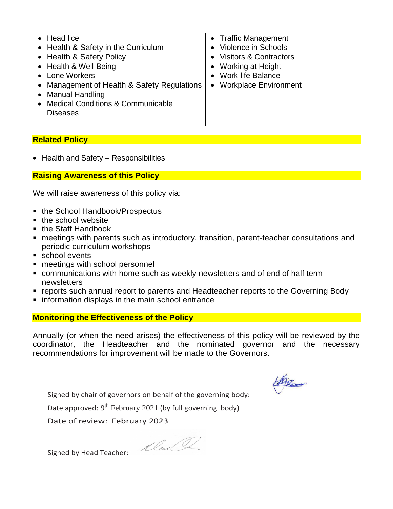| • Head lice<br>• Health & Safety in the Curriculum<br>• Health & Safety Policy | • Traffic Management<br>Violence in Schools<br>• Visitors & Contractors |
|--------------------------------------------------------------------------------|-------------------------------------------------------------------------|
| • Health & Well-Being<br>• Lone Workers                                        | • Working at Height<br><b>Work-life Balance</b>                         |
| • Management of Health & Safety Regulations                                    | <b>Workplace Environment</b>                                            |
| • Manual Handling<br>• Medical Conditions & Communicable                       |                                                                         |
| <b>Diseases</b>                                                                |                                                                         |

### **Related Policy**

• Health and Safety – Responsibilities

### **Raising Awareness of this Policy**

We will raise awareness of this policy via:

- the School Handbook/Prospectus
- the school website
- the Staff Handbook
- meetings with parents such as introductory, transition, parent-teacher consultations and periodic curriculum workshops
- school events
- **nemaller** meetings with school personnel
- communications with home such as weekly newsletters and of end of half term newsletters
- **reports such annual report to parents and Headteacher reports to the Governing Body**
- **information displays in the main school entrance**

#### **Monitoring the Effectiveness of the Policy**

Annually (or when the need arises) the effectiveness of this policy will be reviewed by the coordinator, the Headteacher and the nominated governor and the necessary recommendations for improvement will be made to the Governors.

Hita

Signed by chair of governors on behalf of the governing body:

Date approved: 9<sup>th</sup> February 2021 (by full governing body)

Date of review: February 2023

Mail le

Signed by Head Teacher: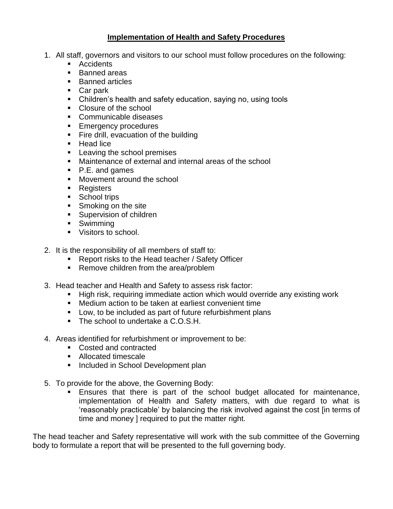### **Implementation of Health and Safety Procedures**

- 1. All staff, governors and visitors to our school must follow procedures on the following:
	- **Accidents**
	- **Banned areas**
	- **Banned articles**
	- Car park
	- Children's health and safety education, saying no, using tools
	- Closure of the school
	- **Communicable diseases**
	- **Emergency procedures**
	- Fire drill, evacuation of the building
	- Head lice
	- **Leaving the school premises**
	- Maintenance of external and internal areas of the school
	- P.E. and games
	- **Movement around the school**
	- **Registers**
	- School trips
	- Smoking on the site
	- **Supervision of children**
	- **Swimming**
	- **Visitors to school.**
- 2. It is the responsibility of all members of staff to:
	- Report risks to the Head teacher / Safety Officer
	- Remove children from the area/problem
- 3. Head teacher and Health and Safety to assess risk factor:
	- **High risk, requiring immediate action which would override any existing work**
	- Medium action to be taken at earliest convenient time
	- **Low, to be included as part of future refurbishment plans**
	- The school to undertake a C.O.S.H.
- 4. Areas identified for refurbishment or improvement to be:
	- Costed and contracted
	- **Allocated timescale**
	- **Included in School Development plan**
- 5. To provide for the above, the Governing Body:
	- Ensures that there is part of the school budget allocated for maintenance, implementation of Health and Safety matters, with due regard to what is 'reasonably practicable' by balancing the risk involved against the cost [in terms of time and money ] required to put the matter right.

The head teacher and Safety representative will work with the sub committee of the Governing body to formulate a report that will be presented to the full governing body.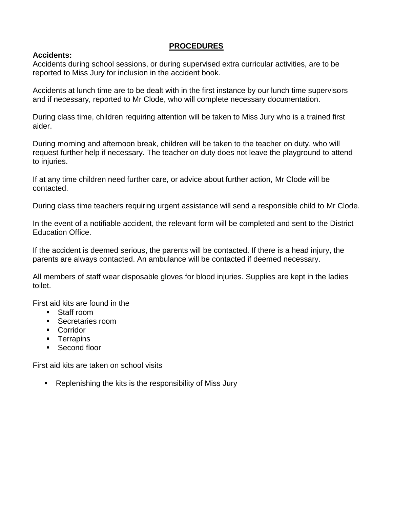# **PROCEDURES**

#### **Accidents:**

Accidents during school sessions, or during supervised extra curricular activities, are to be reported to Miss Jury for inclusion in the accident book.

Accidents at lunch time are to be dealt with in the first instance by our lunch time supervisors and if necessary, reported to Mr Clode, who will complete necessary documentation.

During class time, children requiring attention will be taken to Miss Jury who is a trained first aider.

During morning and afternoon break, children will be taken to the teacher on duty, who will request further help if necessary. The teacher on duty does not leave the playground to attend to injuries.

If at any time children need further care, or advice about further action, Mr Clode will be contacted.

During class time teachers requiring urgent assistance will send a responsible child to Mr Clode.

In the event of a notifiable accident, the relevant form will be completed and sent to the District Education Office.

If the accident is deemed serious, the parents will be contacted. If there is a head injury, the parents are always contacted. An ambulance will be contacted if deemed necessary.

All members of staff wear disposable gloves for blood injuries. Supplies are kept in the ladies toilet.

First aid kits are found in the

- Staff room
- Secretaries room
- **Corridor**
- **Terrapins**
- Second floor

First aid kits are taken on school visits

■ Replenishing the kits is the responsibility of Miss Jury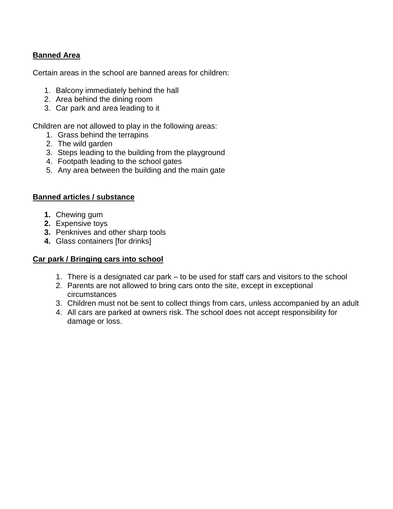# **Banned Area**

Certain areas in the school are banned areas for children:

- 1. Balcony immediately behind the hall
- 2. Area behind the dining room
- 3. Car park and area leading to it

Children are not allowed to play in the following areas:

- 1. Grass behind the terrapins
- 2. The wild garden
- 3. Steps leading to the building from the playground
- 4. Footpath leading to the school gates
- 5. Any area between the building and the main gate

### **Banned articles / substance**

- **1.** Chewing gum
- **2.** Expensive toys
- **3.** Penknives and other sharp tools
- **4.** Glass containers [for drinks]

# **Car park / Bringing cars into school**

- 1. There is a designated car park to be used for staff cars and visitors to the school
- 2. Parents are not allowed to bring cars onto the site, except in exceptional circumstances
- 3. Children must not be sent to collect things from cars, unless accompanied by an adult
- 4. All cars are parked at owners risk. The school does not accept responsibility for damage or loss.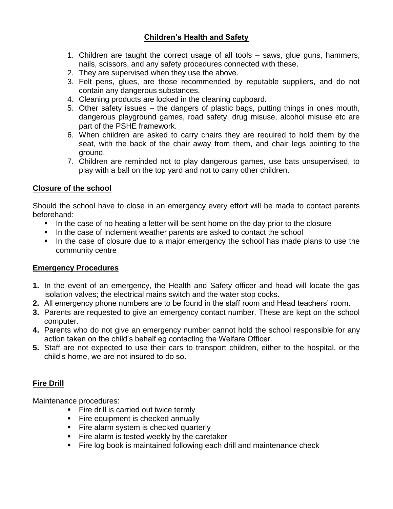# **Children's Health and Safety**

- 1. Children are taught the correct usage of all tools saws, glue guns, hammers, nails, scissors, and any safety procedures connected with these.
- 2. They are supervised when they use the above.
- 3. Felt pens, glues, are those recommended by reputable suppliers, and do not contain any dangerous substances.
- 4. Cleaning products are locked in the cleaning cupboard.
- 5. Other safety issues the dangers of plastic bags, putting things in ones mouth, dangerous playground games, road safety, drug misuse, alcohol misuse etc are part of the PSHE framework.
- 6. When children are asked to carry chairs they are required to hold them by the seat, with the back of the chair away from them, and chair legs pointing to the ground.
- 7. Children are reminded not to play dangerous games, use bats unsupervised, to play with a ball on the top yard and not to carry other children.

# **Closure of the school**

Should the school have to close in an emergency every effort will be made to contact parents beforehand:

- In the case of no heating a letter will be sent home on the day prior to the closure
- In the case of inclement weather parents are asked to contact the school
- In the case of closure due to a major emergency the school has made plans to use the community centre

# **Emergency Procedures**

- **1.** In the event of an emergency, the Health and Safety officer and head will locate the gas isolation valves; the electrical mains switch and the water stop cocks.
- **2.** All emergency phone numbers are to be found in the staff room and Head teachers' room.
- **3.** Parents are requested to give an emergency contact number. These are kept on the school computer.
- **4.** Parents who do not give an emergency number cannot hold the school responsible for any action taken on the child's behalf eg contacting the Welfare Officer.
- **5.** Staff are not expected to use their cars to transport children, either to the hospital, or the child's home, we are not insured to do so.

# **Fire Drill**

Maintenance procedures:

- Fire drill is carried out twice termly
- Fire equipment is checked annually
- Fire alarm system is checked quarterly
- Fire alarm is tested weekly by the caretaker
- Fire log book is maintained following each drill and maintenance check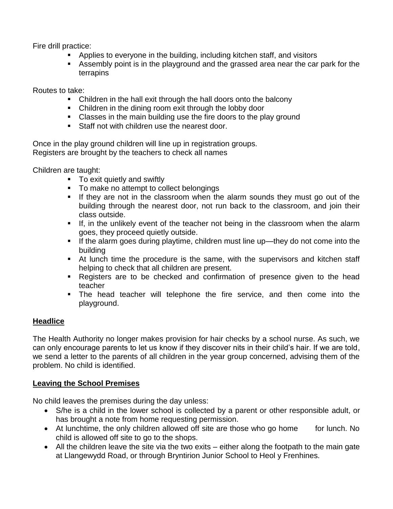Fire drill practice:

- Applies to everyone in the building, including kitchen staff, and visitors
- Assembly point is in the playground and the grassed area near the car park for the terrapins

Routes to take:

- Children in the hall exit through the hall doors onto the balcony
- Children in the dining room exit through the lobby door
- **Classes in the main building use the fire doors to the play ground**
- **Staff not with children use the nearest door.**

Once in the play ground children will line up in registration groups. Registers are brought by the teachers to check all names

Children are taught:

- **To exit quietly and swiftly**
- To make no attempt to collect belongings
- **If they are not in the classroom when the alarm sounds they must go out of the** building through the nearest door, not run back to the classroom, and join their class outside.
- If, in the unlikely event of the teacher not being in the classroom when the alarm goes, they proceed quietly outside.
- If the alarm goes during playtime, children must line up—they do not come into the building
- At lunch time the procedure is the same, with the supervisors and kitchen staff helping to check that all children are present.
- Registers are to be checked and confirmation of presence given to the head teacher
- The head teacher will telephone the fire service, and then come into the playground.

# **Headlice**

The Health Authority no longer makes provision for hair checks by a school nurse. As such, we can only encourage parents to let us know if they discover nits in their child's hair. If we are told, we send a letter to the parents of all children in the year group concerned, advising them of the problem. No child is identified.

# **Leaving the School Premises**

No child leaves the premises during the day unless:

- S/he is a child in the lower school is collected by a parent or other responsible adult, or has brought a note from home requesting permission.
- At lunchtime, the only children allowed off site are those who go home for lunch. No child is allowed off site to go to the shops.
- All the children leave the site via the two exits either along the footpath to the main gate at Llangewydd Road, or through Bryntirion Junior School to Heol y Frenhines.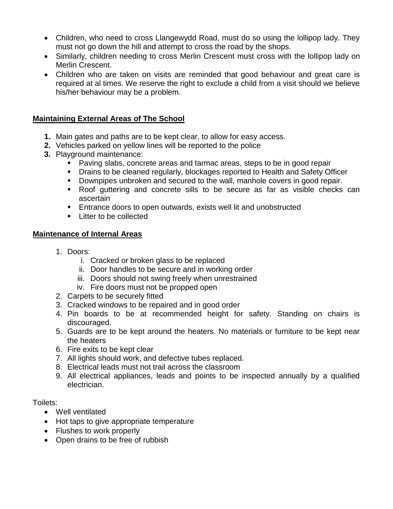- Children, who need to cross Llangewydd Road, must do so using the lollipop lady. They must not go down the hill and attempt to cross the road by the shops.
- Similarly, children needing to cross Merlin Crescent must cross with the lollipop lady on Merlin Crescent.
- Children who are taken on visits are reminded that good behaviour and great care is required at al times. We reserve the right to exclude a child from a visit should we believe his/her behaviour may be a problem.

### **Maintaining External Areas of The School**

- **1.** Main gates and paths are to be kept clear, to allow for easy access.
- **2.** Vehicles parked on yellow lines will be reported to the police
- **3.** Playground maintenance:
	- Paving slabs, concrete areas and tarmac areas, steps to be in good repair
	- Drains to be cleaned regularly, blockages reported to Health and Safety Officer
	- Downpipes unbroken and secured to the wall, manhole covers in good repair.
	- Roof guttering and concrete sills to be secure as far as visible checks can ascertain
	- Entrance doors to open outwards, exists well lit and unobstructed
	- Litter to be collected

#### **Maintenance of Internal Areas**

- 1. Doors:
	- i. Cracked or broken glass to be replaced
	- ii. Door handles to be secure and in working order
	- iii. Doors should not swing freely when unrestrained
	- iv. Fire doors must not be propped open
- 2. Carpets to be securely fitted
- 3. Cracked windows to be repaired and in good order
- 4. Pin boards to be at recommended height for safety. Standing on chairs is discouraged.
- 5. Guards are to be kept around the heaters. No materials or furniture to be kept near the heaters
- 6. Fire exits to be kept clear
- 7. All lights should work, and defective tubes replaced.
- 8. Electrical leads must not trail across the classroom
- 9. All electrical appliances, leads and points to be inspected annually by a qualified electrician.

#### Toilets:

- Well ventilated
- Hot taps to give appropriate temperature
- Flushes to work properly
- Open drains to be free of rubbish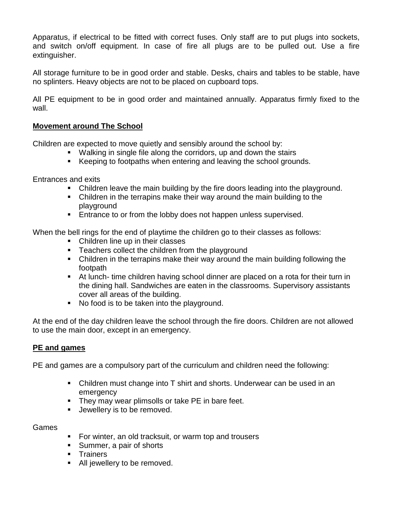Apparatus, if electrical to be fitted with correct fuses. Only staff are to put plugs into sockets, and switch on/off equipment. In case of fire all plugs are to be pulled out. Use a fire extinguisher.

All storage furniture to be in good order and stable. Desks, chairs and tables to be stable, have no splinters. Heavy objects are not to be placed on cupboard tops.

All PE equipment to be in good order and maintained annually. Apparatus firmly fixed to the wall.

### **Movement around The School**

Children are expected to move quietly and sensibly around the school by:

- Walking in single file along the corridors, up and down the stairs
- Keeping to footpaths when entering and leaving the school grounds.

Entrances and exits

- Children leave the main building by the fire doors leading into the playground.
- Children in the terrapins make their way around the main building to the playground
- **Entrance to or from the lobby does not happen unless supervised.**

When the bell rings for the end of playtime the children go to their classes as follows:

- Children line up in their classes
- **Teachers collect the children from the playground**
- Children in the terrapins make their way around the main building following the footpath
- At lunch- time children having school dinner are placed on a rota for their turn in the dining hall. Sandwiches are eaten in the classrooms. Supervisory assistants cover all areas of the building.
- No food is to be taken into the playground.

At the end of the day children leave the school through the fire doors. Children are not allowed to use the main door, except in an emergency.

# **PE and games**

PE and games are a compulsory part of the curriculum and children need the following:

- Children must change into T shirt and shorts. Underwear can be used in an emergency
- **They may wear plimsolls or take PE in bare feet.**
- **Jewellery is to be removed.**

### Games

- For winter, an old tracksuit, or warm top and trousers
- Summer, a pair of shorts
- **Trainers**
- **All jewellery to be removed.**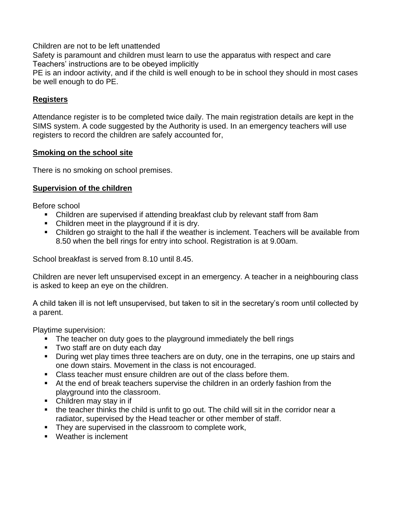Children are not to be left unattended

Safety is paramount and children must learn to use the apparatus with respect and care Teachers' instructions are to be obeyed implicitly

PE is an indoor activity, and if the child is well enough to be in school they should in most cases be well enough to do PE.

# **Registers**

Attendance register is to be completed twice daily. The main registration details are kept in the SIMS system. A code suggested by the Authority is used. In an emergency teachers will use registers to record the children are safely accounted for,

### **Smoking on the school site**

There is no smoking on school premises.

# **Supervision of the children**

Before school

- Children are supervised if attending breakfast club by relevant staff from 8am
- Children meet in the playground if it is dry.
- Children go straight to the hall if the weather is inclement. Teachers will be available from 8.50 when the bell rings for entry into school. Registration is at 9.00am.

School breakfast is served from 8.10 until 8.45.

Children are never left unsupervised except in an emergency. A teacher in a neighbouring class is asked to keep an eye on the children.

A child taken ill is not left unsupervised, but taken to sit in the secretary's room until collected by a parent.

Playtime supervision:

- The teacher on duty goes to the playground immediately the bell rings
- **Two staff are on duty each day**
- **During wet play times three teachers are on duty, one in the terrapins, one up stairs and** one down stairs. Movement in the class is not encouraged.
- Class teacher must ensure children are out of the class before them.
- At the end of break teachers supervise the children in an orderly fashion from the playground into the classroom.
- Children may stay in if
- the teacher thinks the child is unfit to go out. The child will sit in the corridor near a radiator, supervised by the Head teacher or other member of staff.
- They are supervised in the classroom to complete work,
- **Weather is inclement**